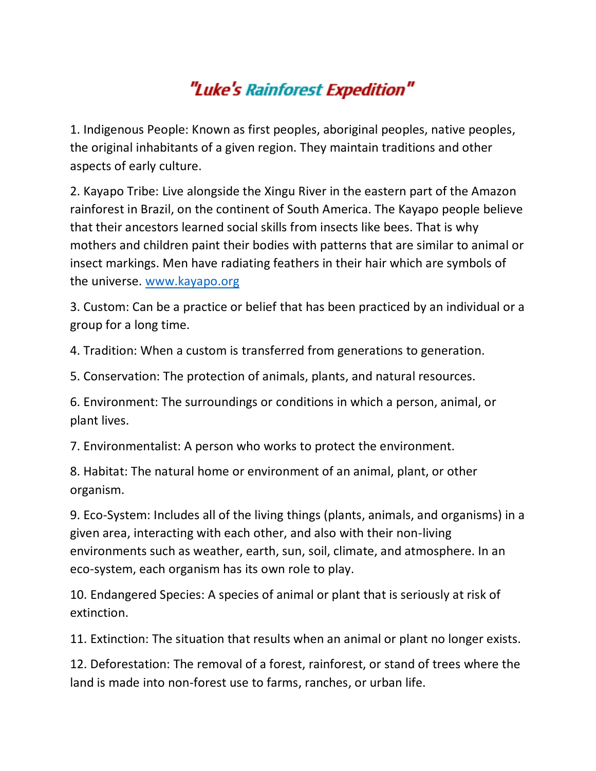## "Luke's Rainforest Expedition"

1. Indigenous People: Known as first peoples, aboriginal peoples, native peoples, the original inhabitants of a given region. They maintain traditions and other aspects of early culture.

2. Kayapo Tribe: Live alongside the Xingu River in the eastern part of the Amazon rainforest in Brazil, on the continent of South America. The Kayapo people believe that their ancestors learned social skills from insects like bees. That is why mothers and children paint their bodies with patterns that are similar to animal or insect markings. Men have radiating feathers in their hair which are symbols of the universe. [www.kayapo.org](http://www.kayapo.org/)

3. Custom: Can be a practice or belief that has been practiced by an individual or a group for a long time.

4. Tradition: When a custom is transferred from generations to generation.

5. Conservation: The protection of animals, plants, and natural resources.

6. Environment: The surroundings or conditions in which a person, animal, or plant lives.

7. Environmentalist: A person who works to protect the environment.

8. Habitat: The natural home or environment of an animal, plant, or other organism.

9. Eco-System: Includes all of the living things (plants, animals, and organisms) in a given area, interacting with each other, and also with their non-living environments such as weather, earth, sun, soil, climate, and atmosphere. In an eco-system, each organism has its own role to play.

10. Endangered Species: A species of animal or plant that is seriously at risk of extinction.

11. Extinction: The situation that results when an animal or plant no longer exists.

12. Deforestation: The removal of a forest, rainforest, or stand of trees where the land is made into non-forest use to farms, ranches, or urban life.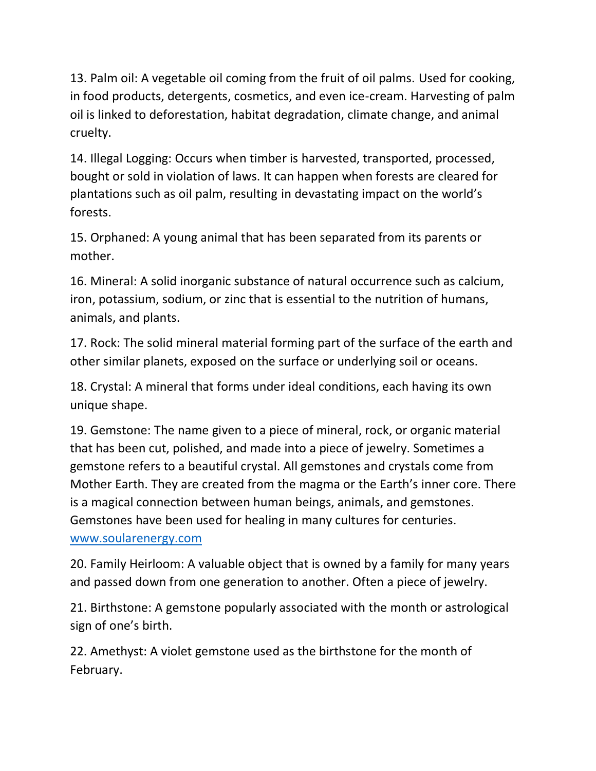13. Palm oil: A vegetable oil coming from the fruit of oil palms. Used for cooking, in food products, detergents, cosmetics, and even ice-cream. Harvesting of palm oil is linked to deforestation, habitat degradation, climate change, and animal cruelty.

14. Illegal Logging: Occurs when timber is harvested, transported, processed, bought or sold in violation of laws. It can happen when forests are cleared for plantations such as oil palm, resulting in devastating impact on the world's forests.

15. Orphaned: A young animal that has been separated from its parents or mother.

16. Mineral: A solid inorganic substance of natural occurrence such as calcium, iron, potassium, sodium, or zinc that is essential to the nutrition of humans, animals, and plants.

17. Rock: The solid mineral material forming part of the surface of the earth and other similar planets, exposed on the surface or underlying soil or oceans.

18. Crystal: A mineral that forms under ideal conditions, each having its own unique shape.

19. Gemstone: The name given to a piece of mineral, rock, or organic material that has been cut, polished, and made into a piece of jewelry. Sometimes a gemstone refers to a beautiful crystal. All gemstones and crystals come from Mother Earth. They are created from the magma or the Earth's inner core. There is a magical connection between human beings, animals, and gemstones. Gemstones have been used for healing in many cultures for centuries. [www.soularenergy.com](http://www.soularenergy.com/)

20. Family Heirloom: A valuable object that is owned by a family for many years and passed down from one generation to another. Often a piece of jewelry.

21. Birthstone: A gemstone popularly associated with the month or astrological sign of one's birth.

22. Amethyst: A violet gemstone used as the birthstone for the month of February.